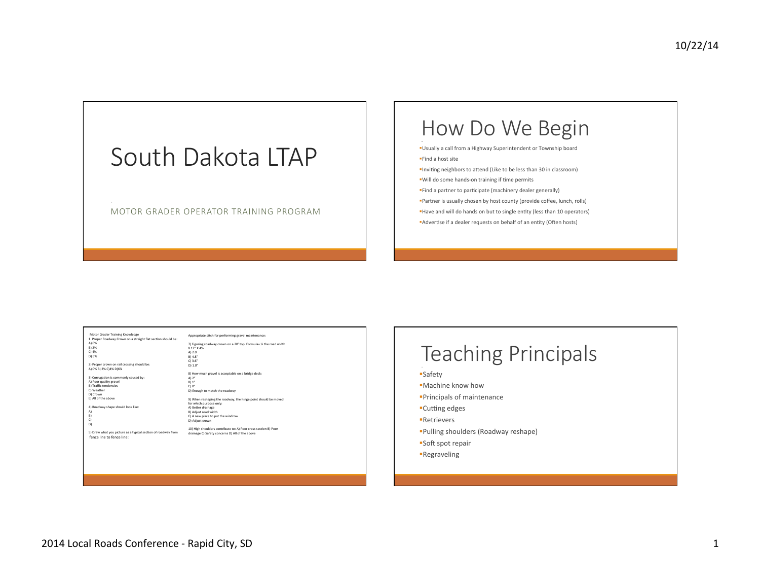# South Dakota LTAP

MOTOR GRADER OPERATOR TRAINING PROGRAM

## How Do We Begin

- §Usually a call from a Highway Superintendent or Township board §Find a host site
- **■Inviting neighbors to attend (Like to be less than 30 in classroom)**
- "Will do some hands-on training if time permits
- **Find a partner to participate (machinery dealer generally)**
- **Partner** is usually chosen by host county (provide coffee, lunch, rolls)
- Have and will do hands on but to single entity (less than 10 operators)
- **Advertise** if a dealer requests on behalf of an entity (Often hosts)

| Motor Grader Training Knowledge                               | Appropriate pitch for performing gravel maintenance:                |
|---------------------------------------------------------------|---------------------------------------------------------------------|
| 1. Proper Roadway Crown on a straight flat section should be: |                                                                     |
| A) 0%                                                         | 7) Figuring roadway crown on a 20' top: Formula= 1/2 the road width |
| B) 2%                                                         | X 12" X 4%                                                          |
| $C)$ 4%                                                       | A) 2.0                                                              |
| D) 6%                                                         | B) 4.8''                                                            |
|                                                               | C) 3.6''                                                            |
| 2) Proper crown on rail crossing should be:                   | D) 1.0"                                                             |
| A) 0% B) 2% C) 4% D) 6%                                       |                                                                     |
|                                                               | 8) How much gravel is acceptable on a bridge deck:                  |
| 3) Corrugation is commonly caused by:                         | A) $2''$                                                            |
| A) Poor quality gravel                                        | B) 1''                                                              |
| <b>B) Traffic tendencies</b>                                  | C10"                                                                |
| C) Weather                                                    | D) Enough to match the roadway                                      |
| D) Crown                                                      |                                                                     |
| E) All of the above                                           | 9) When reshaping the roadway, the hinge point should be moved      |
|                                                               | for which purpose only:                                             |
| 4) Roadway shape should look like:                            | A) Better drainage                                                  |
| A)                                                            | B) Adjust road width                                                |
| B)                                                            | C) A new place to put the windrow                                   |
| C)                                                            | D) Adjust crown                                                     |
| D)                                                            |                                                                     |
|                                                               | 10) High shoulders contribute to: A) Poor cross section B) Poor     |
| 5) Draw what you picture as a typical section of roadway from | drainage C) Safety concerns D) All of the above                     |
| fence line to fence line:                                     |                                                                     |
|                                                               |                                                                     |
|                                                               |                                                                     |
|                                                               |                                                                     |
|                                                               |                                                                     |
|                                                               |                                                                     |
|                                                               |                                                                     |
|                                                               |                                                                     |

### Teaching Principals §Safety §Machine know how §Principals of maintenance ■Cutting edges §Retrievers §Pulling shoulders (Roadway reshape) ■Soft spot repair

§Regraveling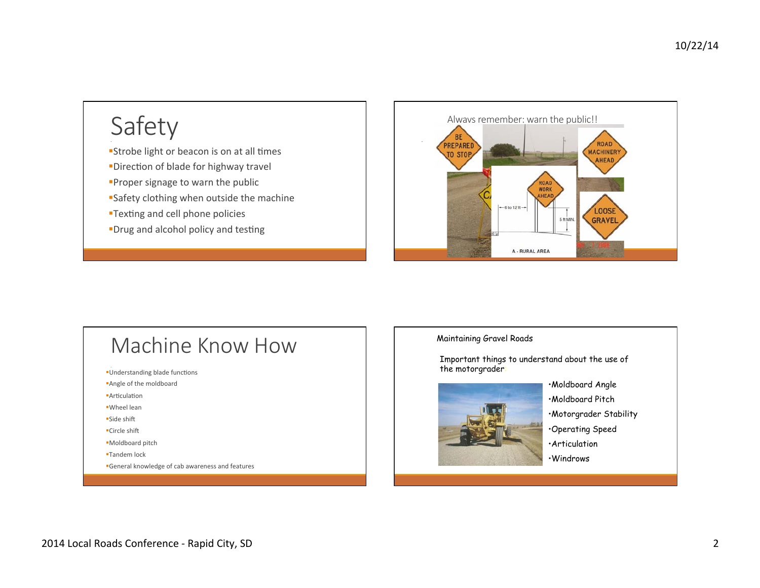# Safety

**Strobe light or beacon is on at all times •Direction of blade for highway travel Proper signage to warn the public** ■Safety clothing when outside the machine

- **•Texting and cell phone policies**
- •Drug and alcohol policy and testing



## Machine Know How

- Understanding blade functions
- **Angle of the moldboard**
- **Articulation**
- §Wheel lean
- ■Side shift
- •Circle shift
- §Moldboard pitch
- §Tandem lock
- **General knowledge of cab awareness and features**

#### Maintaining Gravel Roads

Important things to understand about the use of the motorgrader:



•Moldboard Angle •Moldboard Pitch •Motorgrader Stability •Operating Speed •Articulation •Windrows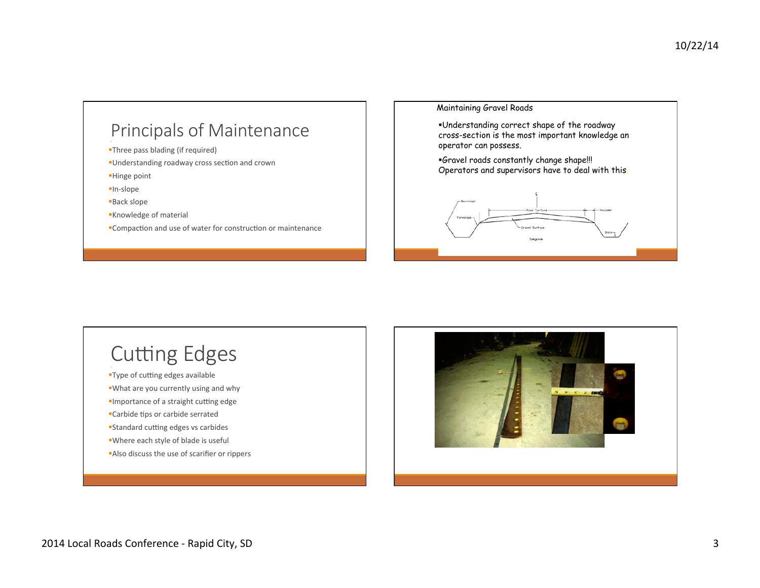### Principals of Maintenance

**•Three pass blading (if required)** 

**Understanding roadway cross section and crown** 

§Hinge point 

§In-slope 

§Back slope 

§Knowledge of material 

■Compaction and use of water for construction or maintenance

Maintaining Gravel Roads

§Understanding correct shape of the roadway cross-section is the most important knowledge an operator can possess.

§Gravel roads constantly change shape!!! Operators and supervisors have to deal with this.



# **Cutting Edges**

**•Type of cutting edges available** 

■What are you currently using and why

**Importance of a straight cutting edge** 

•Carbide tips or carbide serrated

**Standard cutting edges vs carbides** 

■Where each style of blade is useful

**Also discuss the use of scarifier or rippers** 

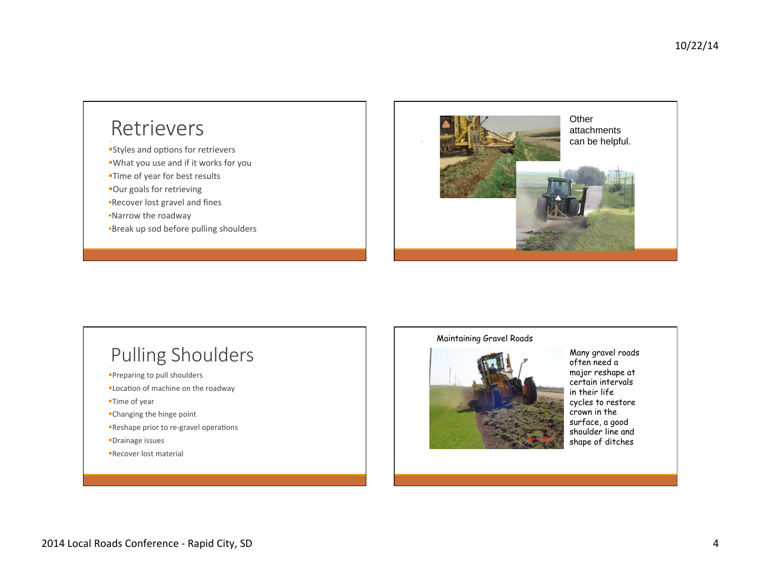### **Retrievers**

- **Styles and options for retrievers**
- ■What you use and if it works for you
- •Time of year for best results
- §Our goals for retrieving
- •Recover lost gravel and fines
- •Narrow the roadway
- •Break up sod before pulling shoulders



## Pulling Shoulders

- **•Preparing to pull shoulders**
- **ELocation of machine on the roadway**
- §Time of year
- •Changing the hinge point
- Reshape prior to re-gravel operations
- §Drainage issues
- §Recover lost material

#### Maintaining Gravel Roads



Many gravel roads often need a major reshape at certain intervals in their life cycles to restore crown in the surface, a good shoulder line and shape of ditches.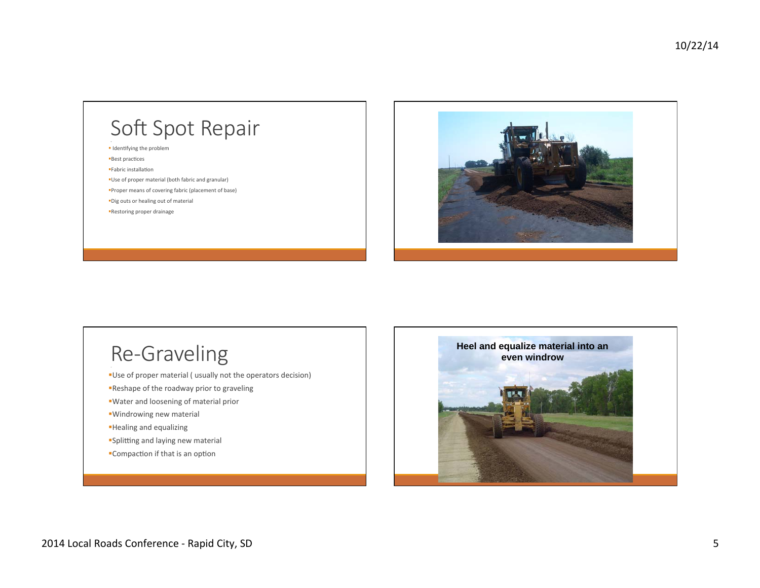# Soft Spot Repair

- Identifying the problem
- **Best practices**
- §Fabric installaHon
- ■Use of proper material (both fabric and granular)
- §Proper means of covering fabric (placement of base) §Dig outs or healing out of material
- **•Restoring proper drainage**



## Re-Graveling

- Use of proper material ( usually not the operators decision)
- ■Reshape of the roadway prior to graveling
- ■Water and loosening of material prior
- **Windrowing new material**
- §Healing and equalizing
- **Splitting and laying new material**
- Compaction if that is an option